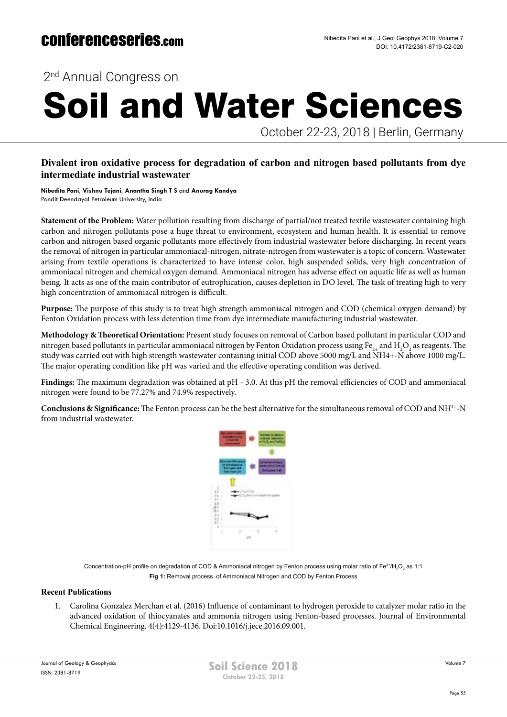2<sup>nd</sup> Annual Congress on

# Soil and Water Sciences

October 22-23, 2018 | Berlin, Germany

## **Divalent iron oxidative process for degradation of carbon and nitrogen based pollutants from dye intermediate industrial wastewater**

**Nibedita Pani, Vishnu Tejani, Anantha Singh T S** and **Anurag Kandya** Pandit Deendayal Petroleum University, India

**Statement of the Problem:** Water pollution resulting from discharge of partial/not treated textile wastewater containing high carbon and nitrogen pollutants pose a huge threat to environment, ecosystem and human health. It is essential to remove carbon and nitrogen based organic pollutants more effectively from industrial wastewater before discharging. In recent years the removal of nitrogen in particular ammoniacal-nitrogen, nitrate-nitrogen from wastewater is a topic of concern. Wastewater arising from textile operations is characterized to have intense color, high suspended solids, very high concentration of ammoniacal nitrogen and chemical oxygen demand. Ammoniacal nitrogen has adverse effect on aquatic life as well as human being. It acts as one of the main contributor of eutrophication, causes depletion in DO level. The task of treating high to very high concentration of ammoniacal nitrogen is difficult.

**Purpose:** The purpose of this study is to treat high strength ammoniacal nitrogen and COD (chemical oxygen demand) by Fenton Oxidation process with less detention time from dye intermediate manufacturing industrial wastewater.

**Methodology & Theoretical Orientation:** Present study focuses on removal of Carbon based pollutant in particular COD and nitrogen based pollutants in particular ammoniacal nitrogen by Fenton Oxidation process using Fe $_{\rm 2+}$  and H<sub>2</sub>O<sub>2</sub> as reagents. The study was carried out with high strength wastewater containing initial COD above 5000 mg/L and NH4+-N above 1000 mg/L. The major operating condition like pH was varied and the effective operating condition was derived.

**Findings:** The maximum degradation was obtained at pH - 3.0. At this pH the removal efficiencies of COD and ammoniacal nitrogen were found to be 77.27% and 74.9% respectively.

**Conclusions & Significance:** The Fenton process can be the best alternative for the simultaneous removal of COD and NH4+-N from industrial wastewater.



Concentration-pH profile on degradation of COD & Ammoniacal nitrogen by Fenton process using molar ratio of Fe $^{2*}$ /H $_2^{}O_2^{}$  as 1:1 **Fig 1:** Removal process of Ammoniacal Nitrogen and COD by Fenton Process

### **Recent Publications**

1. Carolina Gonzalez Merchan et al. (2016) Influence of contaminant to hydrogen peroxide to catalyzer molar ratio in the advanced oxidation of thiocyanates and ammonia nitrogen using Fenton-based processes. Journal of Environmental Chemical Engineering. 4(4):4129-4136. Doi:10.1016/j.jece.2016.09.001.